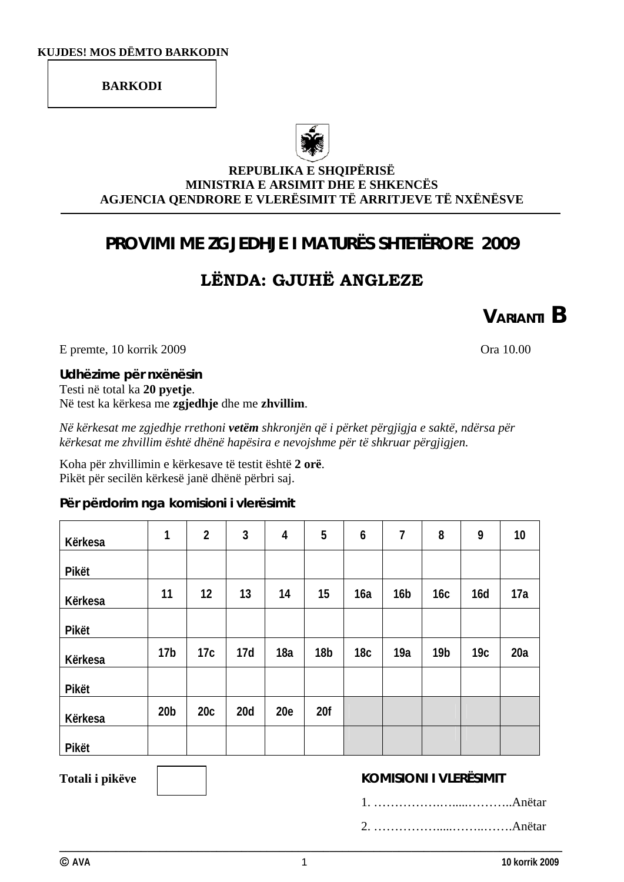### **BARKODI**



### **REPUBLIKA E SHQIPËRISË MINISTRIA E ARSIMIT DHE E SHKENCËS AGJENCIA QENDRORE E VLERËSIMIT TË ARRITJEVE TË NXËNËSVE**

# **PROVIMI ME ZGJEDHJE I MATURËS SHTETËRORE 2009**

# **LËNDA: GJUHË ANGLEZE**

**VARIANTI B**

E premte, 10 korrik 2009 Ora 10.00

**Udhëzime për nxënësin**  Testi në total ka **20 pyetje**. Në test ka kërkesa me **zgjedhje** dhe me **zhvillim**.

*Në kërkesat me zgjedhje rrethoni vetëm shkronjën që i përket përgjigja e saktë, ndërsa për kërkesat me zhvillim është dhënë hapësira e nevojshme për të shkruar përgjigjen.* 

Koha për zhvillimin e kërkesave të testit është **2 orë**. Pikët për secilën kërkesë janë dhënë përbri saj.

## **Për përdorim nga komisioni i vlerësimit**

| Kërkesa | 1               | $\overline{2}$ | 3   | $\overline{4}$ | 5               | 6               | $\overline{1}$  | 8               | 9               | 10  |
|---------|-----------------|----------------|-----|----------------|-----------------|-----------------|-----------------|-----------------|-----------------|-----|
| Pikët   |                 |                |     |                |                 |                 |                 |                 |                 |     |
| Kërkesa | 11              | 12             | 13  | 14             | 15              | 16a             | 16 <sub>b</sub> | 16c             | 16d             | 17a |
| Pikët   |                 |                |     |                |                 |                 |                 |                 |                 |     |
| Kërkesa | 17 <sub>b</sub> | 17c            | 17d | 18a            | 18 <sub>b</sub> | 18 <sub>c</sub> | 19a             | 19 <sub>b</sub> | 19 <sub>C</sub> | 20a |
| Pikët   |                 |                |     |                |                 |                 |                 |                 |                 |     |
| Kërkesa | 20 <sub>b</sub> | 20c            | 20d | 20e            | 20f             |                 |                 |                 |                 |     |
| Pikët   |                 |                |     |                |                 |                 |                 |                 |                 |     |

## **Totali i pikëve KOMISIONI I VLERËSIMIT**

2. …………….....……..…….Anëtar

**\_\_\_\_\_\_\_\_\_\_\_\_\_\_\_\_\_\_\_\_\_\_\_\_\_\_\_\_\_\_\_\_\_\_\_\_\_\_\_\_\_\_\_\_\_\_\_\_\_\_\_\_\_\_\_\_\_\_\_\_\_\_\_\_\_\_\_\_\_\_\_\_\_\_\_\_\_\_\_\_**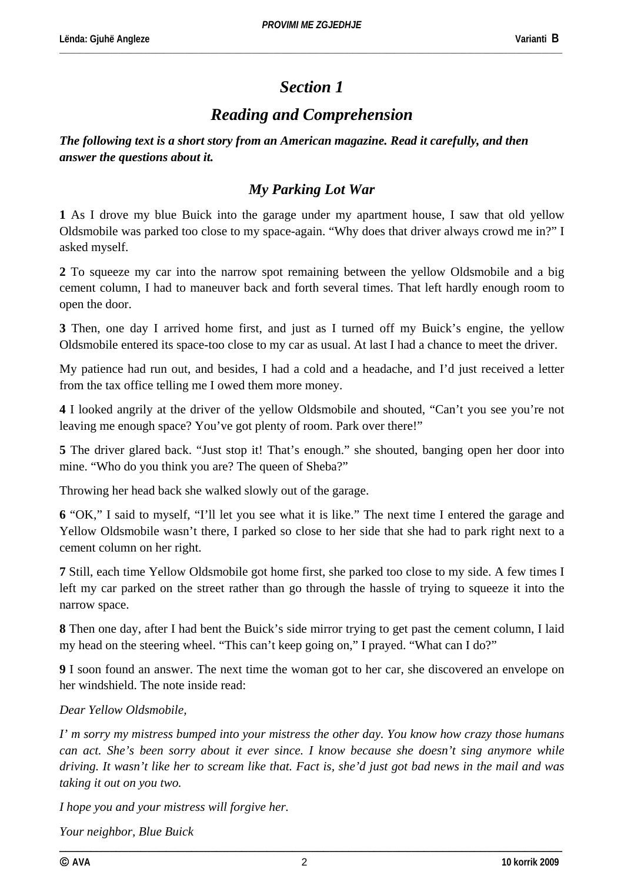## *Section 1*

# *Reading and Comprehension*

*The following text is a short story from an American magazine. Read it carefully, and then answer the questions about it.* 

## *My Parking Lot War*

**1** As I drove my blue Buick into the garage under my apartment house, I saw that old yellow Oldsmobile was parked too close to my space-again. "Why does that driver always crowd me in?" I asked myself.

**2** To squeeze my car into the narrow spot remaining between the yellow Oldsmobile and a big cement column, I had to maneuver back and forth several times. That left hardly enough room to open the door.

**3** Then, one day I arrived home first, and just as I turned off my Buick's engine, the yellow Oldsmobile entered its space-too close to my car as usual. At last I had a chance to meet the driver.

My patience had run out, and besides, I had a cold and a headache, and I'd just received a letter from the tax office telling me I owed them more money.

**4** I looked angrily at the driver of the yellow Oldsmobile and shouted, "Can't you see you're not leaving me enough space? You've got plenty of room. Park over there!"

**5** The driver glared back. "Just stop it! That's enough." she shouted, banging open her door into mine. "Who do you think you are? The queen of Sheba?"

Throwing her head back she walked slowly out of the garage.

**6** "OK," I said to myself, "I'll let you see what it is like." The next time I entered the garage and Yellow Oldsmobile wasn't there, I parked so close to her side that she had to park right next to a cement column on her right.

**7** Still, each time Yellow Oldsmobile got home first, she parked too close to my side. A few times I left my car parked on the street rather than go through the hassle of trying to squeeze it into the narrow space.

**8** Then one day, after I had bent the Buick's side mirror trying to get past the cement column, I laid my head on the steering wheel. "This can't keep going on," I prayed. "What can I do?"

**9** I soon found an answer. The next time the woman got to her car, she discovered an envelope on her windshield. The note inside read:

*Dear Yellow Oldsmobile,* 

*I' m sorry my mistress bumped into your mistress the other day. You know how crazy those humans can act. She's been sorry about it ever since. I know because she doesn't sing anymore while driving. It wasn't like her to scream like that. Fact is, she'd just got bad news in the mail and was taking it out on you two.* 

*I hope you and your mistress will forgive her.* 

*Your neighbor, Blue Buick*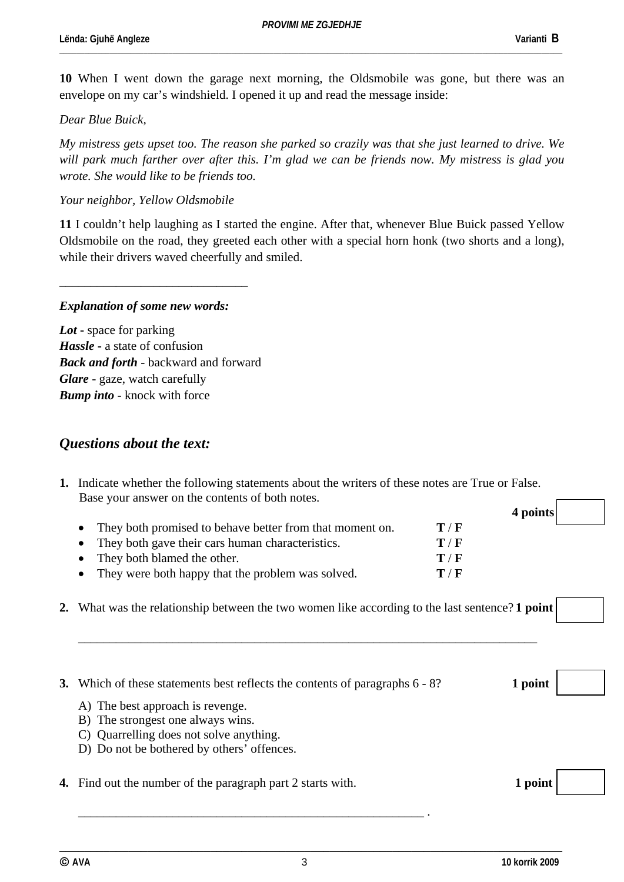**10** When I went down the garage next morning, the Oldsmobile was gone, but there was an envelope on my car's windshield. I opened it up and read the message inside:

#### *Dear Blue Buick,*

*My mistress gets upset too. The reason she parked so crazily was that she just learned to drive. We will park much farther over after this. I'm glad we can be friends now. My mistress is glad you wrote. She would like to be friends too.* 

#### *Your neighbor, Yellow Oldsmobile*

**11** I couldn't help laughing as I started the engine. After that, whenever Blue Buick passed Yellow Oldsmobile on the road, they greeted each other with a special horn honk (two shorts and a long), while their drivers waved cheerfully and smiled.

#### *Explanation of some new words:*

\_\_\_\_\_\_\_\_\_\_\_\_\_\_\_\_\_\_\_\_\_\_\_\_\_\_\_\_\_\_

*Lot* **-** space for parking *Hassle* **-** a state of confusion *Back and forth* - backward and forward *Glare* - gaze, watch carefully *Bump into* - knock with force

#### *Questions about the text:*

| <b>1.</b> Indicate whether the following statements about the writers of these notes are True or False. |
|---------------------------------------------------------------------------------------------------------|
| Base your answer on the contents of both notes.                                                         |

| • They both promised to behave better from that moment on. | T/F                       |
|------------------------------------------------------------|---------------------------|
| • They both gave their cars human characteristics.         | T/F                       |
| • They both blamed the other.                              | $\mathbf{T} / \mathbf{F}$ |
| • They were both happy that the problem was solved.        | $\mathbf{T} / \mathbf{F}$ |

**2.** What was the relationship between the two women like according to the last sentence? **1 point** 

\_\_\_\_\_\_\_\_\_\_\_\_\_\_\_\_\_\_\_\_\_\_\_\_\_\_\_\_\_\_\_\_\_\_\_\_\_\_\_\_\_\_\_\_\_\_\_\_\_\_\_\_\_\_\_\_\_\_\_\_\_\_\_\_\_\_\_\_\_\_\_\_\_

| 3. Which of these statements best reflects the contents of paragraphs 6 - 8? | 1 point |
|------------------------------------------------------------------------------|---------|
| A) The best approach is revenge.                                             |         |
| B) The strongest one always wins.                                            |         |
| C) Quarrelling does not solve anything.                                      |         |
| D) Do not be bothered by others' offences.                                   |         |
| <b>4.</b> Find out the number of the paragraph part 2 starts with.           | 1 point |
|                                                                              |         |

**4 points**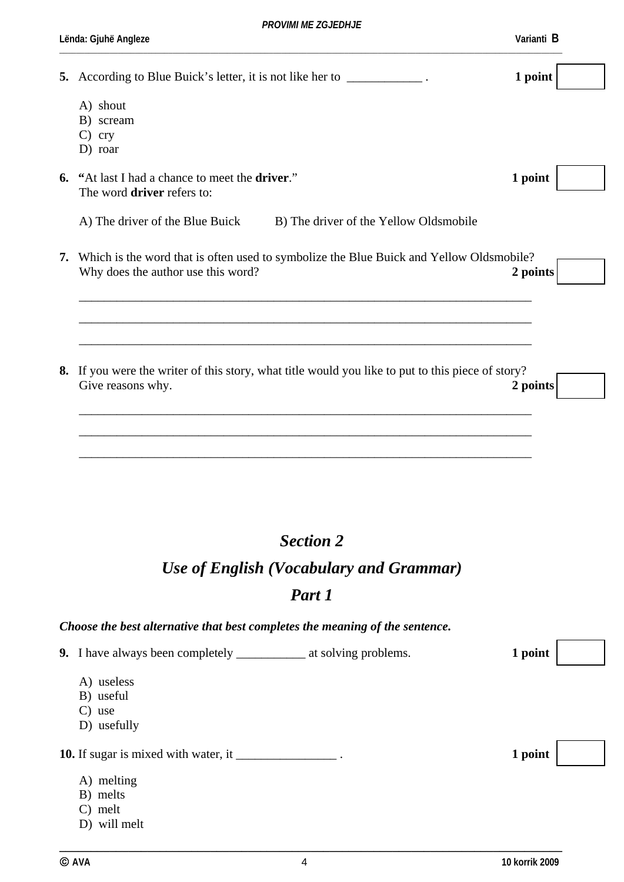|                                                                           | Varianti B                                                                                                                                              |                                                                                                                                                                                              |
|---------------------------------------------------------------------------|---------------------------------------------------------------------------------------------------------------------------------------------------------|----------------------------------------------------------------------------------------------------------------------------------------------------------------------------------------------|
|                                                                           | 1 point                                                                                                                                                 |                                                                                                                                                                                              |
| A) shout<br>B) scream<br>$C)$ cry<br>D) roar                              |                                                                                                                                                         |                                                                                                                                                                                              |
| The word driver refers to:                                                | 1 point                                                                                                                                                 |                                                                                                                                                                                              |
| A) The driver of the Blue Buick<br>B) The driver of the Yellow Oldsmobile |                                                                                                                                                         |                                                                                                                                                                                              |
| Why does the author use this word?                                        | 2 points                                                                                                                                                |                                                                                                                                                                                              |
|                                                                           |                                                                                                                                                         |                                                                                                                                                                                              |
| Give reasons why.                                                         | 2 points                                                                                                                                                |                                                                                                                                                                                              |
|                                                                           | Lënda: Gjuhë Angleze<br>5. According to Blue Buick's letter, it is not like her to ___________.<br>"At last I had a chance to meet the <b>driver.</b> " | Which is the word that is often used to symbolize the Blue Buick and Yellow Oldsmobile?<br>8. If you were the writer of this story, what title would you like to put to this piece of story? |

# *Section 2*

\_\_\_\_\_\_\_\_\_\_\_\_\_\_\_\_\_\_\_\_\_\_\_\_\_\_\_\_\_\_\_\_\_\_\_\_\_\_\_\_\_\_\_\_\_\_\_\_\_\_\_\_\_\_\_\_\_\_\_\_\_\_\_\_\_\_\_\_\_\_\_\_

\_\_\_\_\_\_\_\_\_\_\_\_\_\_\_\_\_\_\_\_\_\_\_\_\_\_\_\_\_\_\_\_\_\_\_\_\_\_\_\_\_\_\_\_\_\_\_\_\_\_\_\_\_\_\_\_\_\_\_\_\_\_\_\_\_\_\_\_\_\_\_\_

# *Use of English (Vocabulary and Grammar)*

## *Part 1*

## *Choose the best alternative that best completes the meaning of the sentence.*

|              | at solving problems. | 1 point |
|--------------|----------------------|---------|
| A) useless   |                      |         |
| B) useful    |                      |         |
| $C)$ use     |                      |         |
| D) usefully  |                      |         |
|              |                      | 1 point |
| A) melting   |                      |         |
| B) melts     |                      |         |
| $C)$ melt    |                      |         |
| D) will melt |                      |         |
|              |                      |         |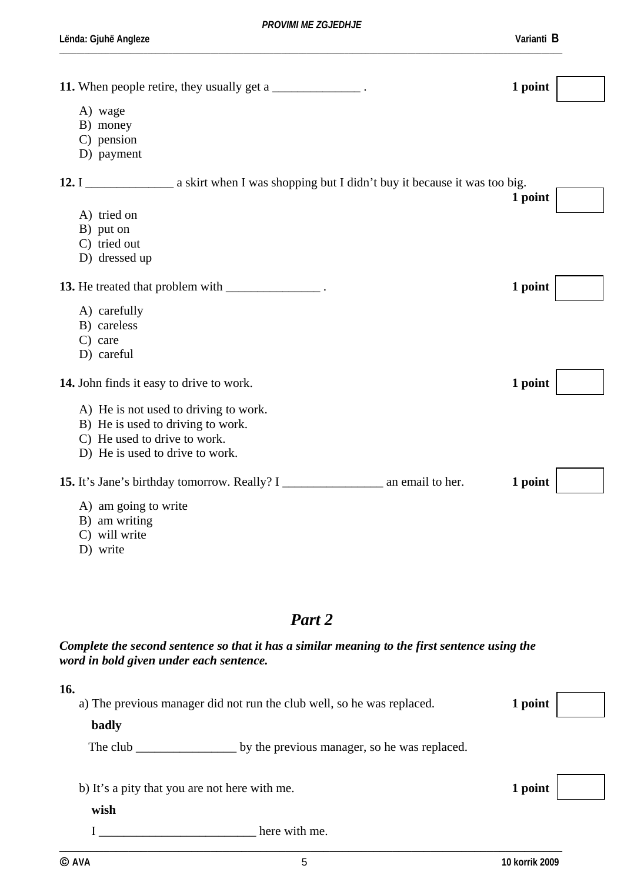| 11. When people retire, they usually get a _______________. | 1 point |  |
|-------------------------------------------------------------|---------|--|
| A) wage<br>B) money                                         |         |  |
| C) pension<br>D) payment                                    |         |  |
|                                                             |         |  |
|                                                             | 1 point |  |
| A) tried on                                                 |         |  |
| B) put on                                                   |         |  |
| C) tried out                                                |         |  |
| D) dressed up                                               |         |  |
| 13. He treated that problem with _________________.         | 1 point |  |
| A) carefully                                                |         |  |
| B) careless                                                 |         |  |
| C) care                                                     |         |  |
| D) careful                                                  |         |  |
| 14. John finds it easy to drive to work.                    | 1 point |  |
| A) He is not used to driving to work.                       |         |  |
| B) He is used to driving to work.                           |         |  |
| C) He used to drive to work.                                |         |  |
| D) He is used to drive to work.                             |         |  |
|                                                             | 1 point |  |
| A) am going to write                                        |         |  |
| B) am writing                                               |         |  |
| C) will write                                               |         |  |
| D) write                                                    |         |  |

## *Part 2*

#### *Complete the second sentence so that it has a similar meaning to the first sentence using the word in bold given under each sentence.*

| 16.                                                   | a) The previous manager did not run the club well, so he was replaced. | 1 point |
|-------------------------------------------------------|------------------------------------------------------------------------|---------|
| badly                                                 |                                                                        |         |
| The club                                              | by the previous manager, so he was replaced.                           |         |
| b) It's a pity that you are not here with me.<br>wish |                                                                        | 1 point |
|                                                       | here with me.                                                          |         |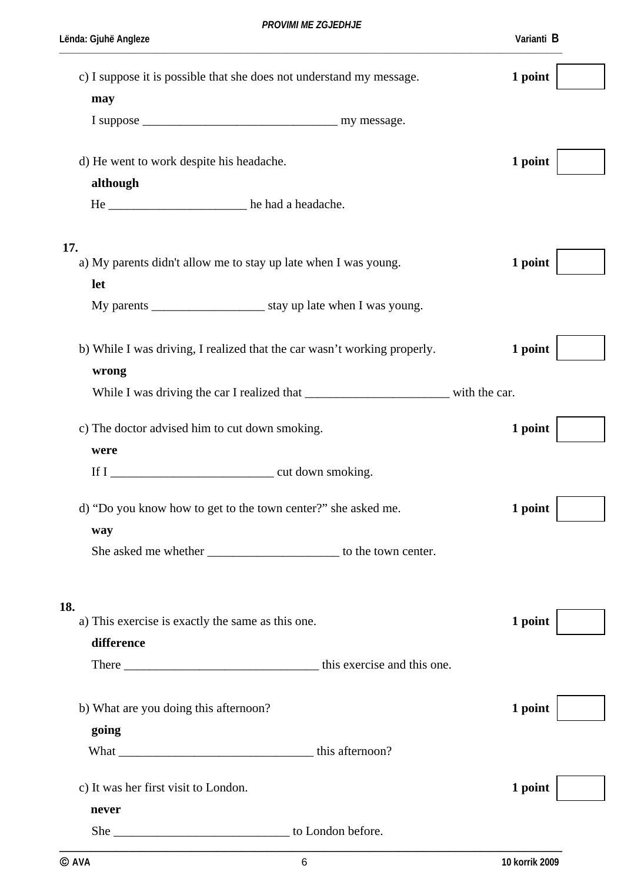| Lënda: Gjuhë Angleze                                                                       | Varianti B |
|--------------------------------------------------------------------------------------------|------------|
| c) I suppose it is possible that she does not understand my message.                       | 1 point    |
| may                                                                                        |            |
|                                                                                            |            |
| d) He went to work despite his headache.                                                   | 1 point    |
| although                                                                                   |            |
|                                                                                            |            |
| 17.                                                                                        |            |
| a) My parents didn't allow me to stay up late when I was young.<br>let                     | 1 point    |
|                                                                                            |            |
| b) While I was driving, I realized that the car wasn't working properly.                   | 1 point    |
| wrong                                                                                      |            |
| While I was driving the car I realized that _________________________________with the car. |            |
| c) The doctor advised him to cut down smoking.                                             | 1 point    |
| were                                                                                       |            |
|                                                                                            |            |
| d) "Do you know how to get to the town center?" she asked me.                              | 1 point    |
| way                                                                                        |            |
|                                                                                            |            |
| 18.                                                                                        |            |
| a) This exercise is exactly the same as this one.                                          | 1 point    |
| difference                                                                                 |            |
|                                                                                            |            |
| b) What are you doing this afternoon?                                                      | 1 point    |
| going                                                                                      |            |
|                                                                                            |            |
|                                                                                            |            |

c) It was her first visit to London. **1 point**

**never**

She \_\_\_\_\_\_\_\_\_\_\_\_\_\_\_\_\_\_\_\_\_\_\_\_\_\_\_\_ to London before.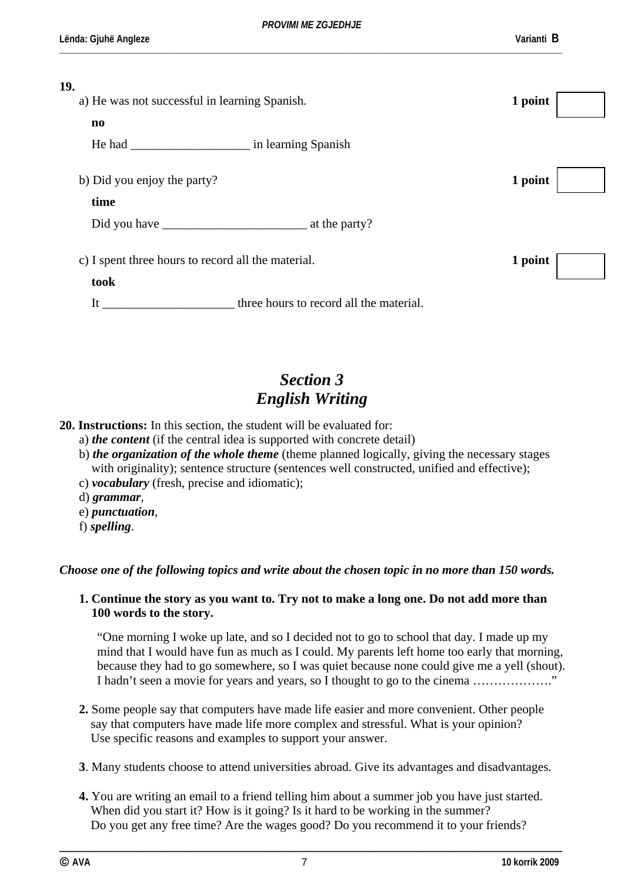| 19.                         | a) He was not successful in learning Spanish.      | 1 point |
|-----------------------------|----------------------------------------------------|---------|
| $\mathbf{n}\mathbf{o}$      |                                                    |         |
|                             |                                                    |         |
| b) Did you enjoy the party? |                                                    | 1 point |
| time                        |                                                    |         |
|                             |                                                    |         |
|                             | c) I spent three hours to record all the material. | 1 point |
| took                        |                                                    |         |
| It                          | three hours to record all the material.            |         |
|                             |                                                    |         |

# *Section 3 English Writing*

- **20. Instructions:** In this section, the student will be evaluated for:
	- a) *the content* (if the central idea is supported with concrete detail)
	- b) *the organization of the whole theme* (theme planned logically, giving the necessary stages with originality); sentence structure (sentences well constructed, unified and effective);
	- c) *vocabulary* (fresh, precise and idiomatic);
	- d) *grammar*,
	- e) *punctuation*,
	- f) *spelling*.

#### *Choose one of the following topics and write about the chosen topic in no more than 150 words.*

#### **1. Continue the story as you want to. Try not to make a long one. Do not add more than 100 words to the story.**

"One morning I woke up late, and so I decided not to go to school that day. I made up my mind that I would have fun as much as I could. My parents left home too early that morning, because they had to go somewhere, so I was quiet because none could give me a yell (shout). I hadn't seen a movie for years and years, so I thought to go to the cinema ………………."

- **2.** Some people say that computers have made life easier and more convenient. Other people say that computers have made life more complex and stressful. What is your opinion? Use specific reasons and examples to support your answer.
- **3**. Many students choose to attend universities abroad. Give its advantages and disadvantages.
- **4.** You are writing an email to a friend telling him about a summer job you have just started. When did you start it? How is it going? Is it hard to be working in the summer? Do you get any free time? Are the wages good? Do you recommend it to your friends?

**\_\_\_\_\_\_\_\_\_\_\_\_\_\_\_\_\_\_\_\_\_\_\_\_\_\_\_\_\_\_\_\_\_\_\_\_\_\_\_\_\_\_\_\_\_\_\_\_\_\_\_\_\_\_\_\_\_\_\_\_\_\_\_\_\_\_\_\_\_\_\_\_\_\_\_\_\_\_\_\_**